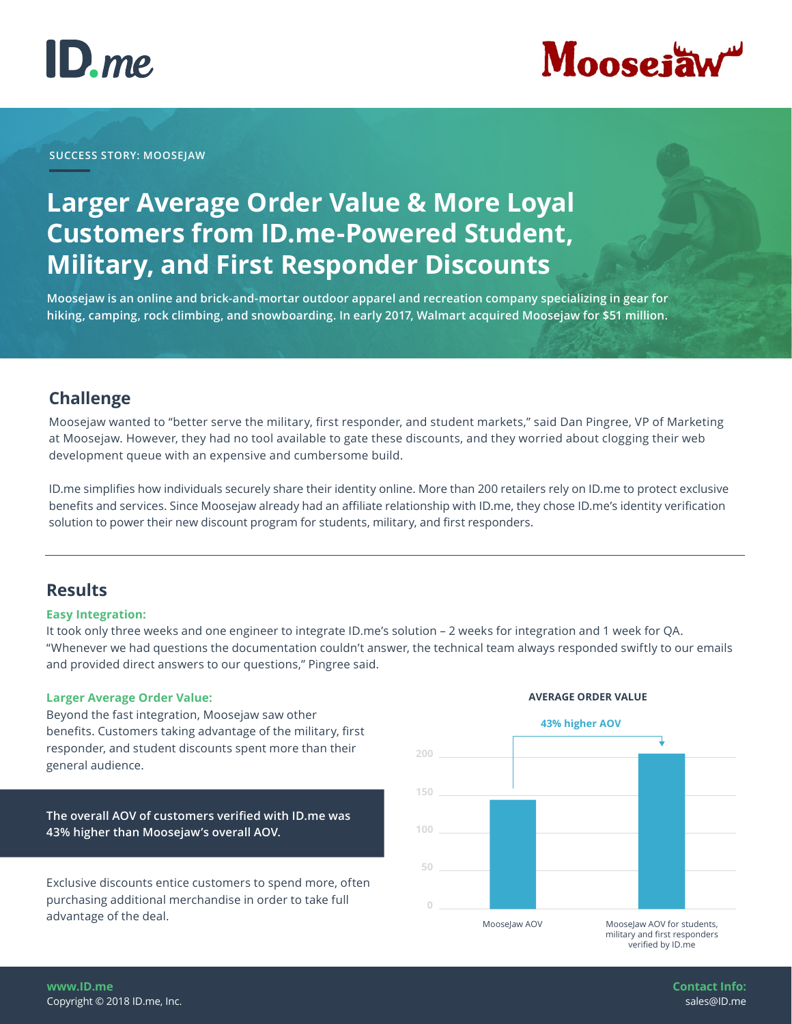



### **SUCCESS STORY: MOOSEJAW**

## **Larger Average Order Value & More Loyal Customers from ID.me-Powered Student, Military, and First Responder Discounts**

**Moosejaw is an online and brick-and-mortar outdoor apparel and recreation company specializing in gear for hiking, camping, rock climbing, and snowboarding. In early 2017, Walmart acquired Moosejaw for \$51 million.**

### **Challenge**

Moosejaw wanted to "better serve the military, first responder, and student markets," said Dan Pingree, VP of Marketing at Moosejaw. However, they had no tool available to gate these discounts, and they worried about clogging their web development queue with an expensive and cumbersome build.

ID.me simplifies how individuals securely share their identity online. More than 200 retailers rely on ID.me to protect exclusive benefits and services. Since Moosejaw already had an affiliate relationship with ID.me, they chose ID.me's identity verification solution to power their new discount program for students, military, and first responders.

### **Results**

### **Easy Integration:**

It took only three weeks and one engineer to integrate ID.me's solution – 2 weeks for integration and 1 week for QA. "Whenever we had questions the documentation couldn't answer, the technical team always responded swiftly to our emails and provided direct answers to our questions," Pingree said.

### **Larger Average Order Value:**

Beyond the fast integration, Moosejaw saw other benefits. Customers taking advantage of the military, first responder, and student discounts spent more than their general audience.

**The overall AOV of customers verified with ID.me was 43% higher than Moosejaw's overall AOV.** 

Exclusive discounts entice customers to spend more, often purchasing additional merchandise in order to take full advantage of the deal.



### **AVERAGE ORDER VALUE**

**www.ID.me** Copyright © 2018 ID.me, Inc. **Contact Info:** sales@ID.me